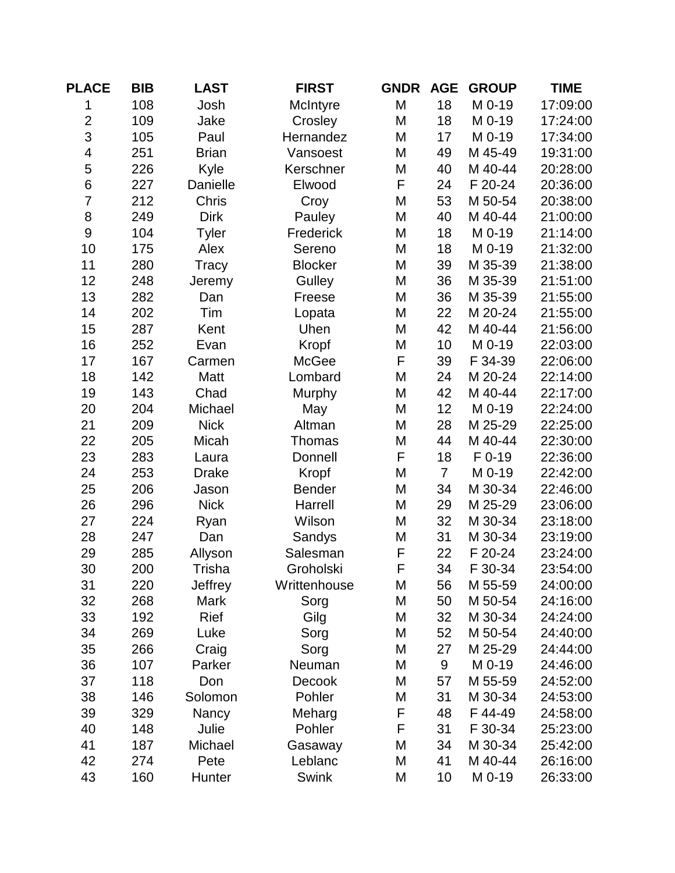| <b>PLACE</b>   | <b>BIB</b> | <b>LAST</b>    | <b>FIRST</b>   | <b>GNDR</b> | <b>AGE</b>     | <b>GROUP</b> | <b>TIME</b> |
|----------------|------------|----------------|----------------|-------------|----------------|--------------|-------------|
| 1              | 108        | Josh           | McIntyre       | M           | 18             | M 0-19       | 17:09:00    |
| $\overline{2}$ | 109        | Jake           | Crosley        | M           | 18             | M 0-19       | 17:24:00    |
| 3              | 105        | Paul           | Hernandez      | M           | 17             | M 0-19       | 17:34:00    |
| 4              | 251        | <b>Brian</b>   | Vansoest       | M           | 49             | M 45-49      | 19:31:00    |
| 5              | 226        | Kyle           | Kerschner      | M           | 40             | M 40-44      | 20:28:00    |
| $\,$ 6 $\,$    | 227        | Danielle       | Elwood         | F           | 24             | F 20-24      | 20:36:00    |
| $\overline{7}$ | 212        | Chris          | Croy           | M           | 53             | M 50-54      | 20:38:00    |
| 8              | 249        | <b>Dirk</b>    | Pauley         | M           | 40             | M 40-44      | 21:00:00    |
| $\mathsf 9$    | 104        | <b>Tyler</b>   | Frederick      | M           | 18             | M 0-19       | 21:14:00    |
| 10             | 175        | Alex           | Sereno         | M           | 18             | M 0-19       | 21:32:00    |
| 11             | 280        | Tracy          | <b>Blocker</b> | M           | 39             | M 35-39      | 21:38:00    |
| 12             | 248        | Jeremy         | Gulley         | M           | 36             | M 35-39      | 21:51:00    |
| 13             | 282        | Dan            | Freese         | M           | 36             | M 35-39      | 21:55:00    |
| 14             | 202        | Tim            | Lopata         | M           | 22             | M 20-24      | 21:55:00    |
| 15             | 287        | Kent           | Uhen           | M           | 42             | M 40-44      | 21:56:00    |
| 16             | 252        | Evan           | Kropf          | M           | 10             | M 0-19       | 22:03:00    |
| 17             | 167        | Carmen         | McGee          | F           | 39             | F 34-39      | 22:06:00    |
| 18             | 142        | Matt           | Lombard        | M           | 24             | M 20-24      | 22:14:00    |
| 19             | 143        | Chad           | Murphy         | M           | 42             | M 40-44      | 22:17:00    |
| 20             | 204        | Michael        | May            | M           | 12             | M 0-19       | 22:24:00    |
| 21             | 209        | <b>Nick</b>    | Altman         | M           | 28             | M 25-29      | 22:25:00    |
| 22             | 205        | Micah          | Thomas         | M           | 44             | M 40-44      | 22:30:00    |
| 23             | 283        | Laura          | Donnell        | F           | 18             | F 0-19       | 22:36:00    |
| 24             | 253        | <b>Drake</b>   | Kropf          | M           | $\overline{7}$ | M 0-19       | 22:42:00    |
| 25             | 206        | Jason          | <b>Bender</b>  | M           | 34             | M 30-34      | 22:46:00    |
| 26             | 296        | <b>Nick</b>    | Harrell        | M           | 29             | M 25-29      | 23:06:00    |
| 27             | 224        | Ryan           | Wilson         | M           | 32             | M 30-34      | 23:18:00    |
| 28             | 247        | Dan            | Sandys         | M           | 31             | M 30-34      | 23:19:00    |
| 29             | 285        | Allyson        | Salesman       | F           | 22             | F 20-24      | 23:24:00    |
| 30             | 200        | Trisha         | Groholski      | F           | 34             | F 30-34      | 23:54:00    |
| 31             | 220        | <b>Jeffrey</b> | Writtenhouse   | M           | 56             | M 55-59      | 24:00:00    |
| 32             | 268        | Mark           | Sorg           | M           | 50             | M 50-54      | 24:16:00    |
| 33             | 192        | Rief           | Gilg           | M           | 32             | M 30-34      | 24:24:00    |
| 34             | 269        | Luke           | Sorg           | M           | 52             | M 50-54      | 24:40:00    |
| 35             | 266        | Craig          | Sorg           | M           | 27             | M 25-29      | 24:44:00    |
| 36             | 107        | Parker         | Neuman         | M           | 9              | M 0-19       | 24:46:00    |
| 37             | 118        | Don            | Decook         | M           | 57             | M 55-59      | 24:52:00    |
| 38             | 146        | Solomon        | Pohler         | M           | 31             | M 30-34      | 24:53:00    |
| 39             | 329        | Nancy          | Meharg         | F           | 48             | F44-49       | 24:58:00    |
| 40             | 148        | Julie          | Pohler         | F           | 31             | F 30-34      | 25:23:00    |
| 41             | 187        | Michael        | Gasaway        | M           | 34             | M 30-34      | 25:42:00    |
| 42             | 274        | Pete           | Leblanc        | M           | 41             | M 40-44      | 26:16:00    |
| 43             | 160        | Hunter         | Swink          | M           | 10             | M 0-19       | 26:33:00    |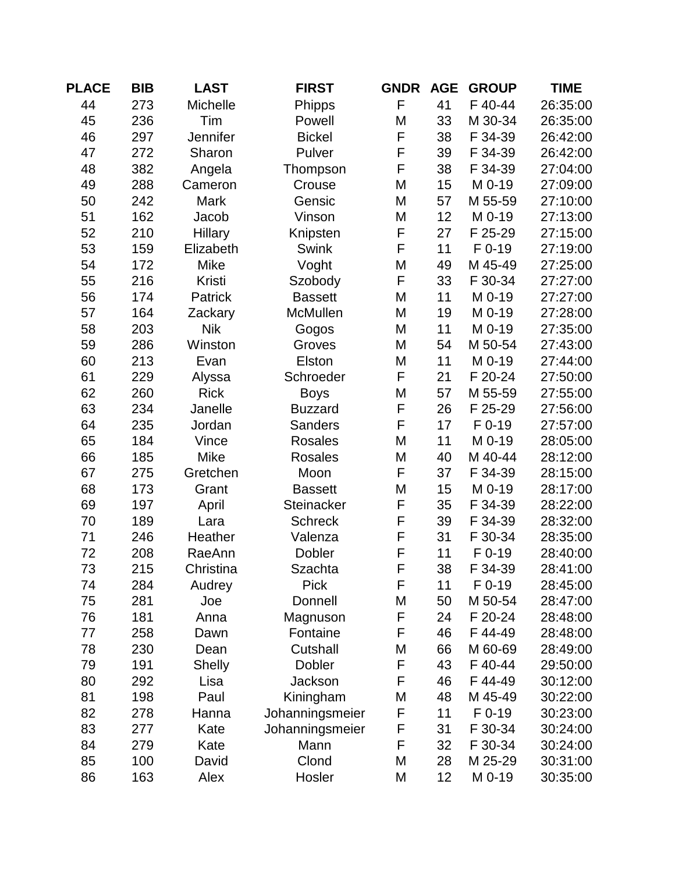| <b>PLACE</b> | <b>BIB</b> | <b>LAST</b>   | <b>FIRST</b>      | <b>GNDR</b> | <b>AGE</b> | <b>GROUP</b> | <b>TIME</b> |
|--------------|------------|---------------|-------------------|-------------|------------|--------------|-------------|
| 44           | 273        | Michelle      | Phipps            | F           | 41         | F 40-44      | 26:35:00    |
| 45           | 236        | Tim           | Powell            | M           | 33         | M 30-34      | 26:35:00    |
| 46           | 297        | Jennifer      | <b>Bickel</b>     | F           | 38         | F 34-39      | 26:42:00    |
| 47           | 272        | Sharon        | Pulver            | F           | 39         | F 34-39      | 26:42:00    |
| 48           | 382        | Angela        | Thompson          | F           | 38         | F 34-39      | 27:04:00    |
| 49           | 288        | Cameron       | Crouse            | M           | 15         | M 0-19       | 27:09:00    |
| 50           | 242        | <b>Mark</b>   | Gensic            | M           | 57         | M 55-59      | 27:10:00    |
| 51           | 162        | Jacob         | Vinson            | M           | 12         | M 0-19       | 27:13:00    |
| 52           | 210        | Hillary       | Knipsten          | F           | 27         | F 25-29      | 27:15:00    |
| 53           | 159        | Elizabeth     | <b>Swink</b>      | F           | 11         | $F$ 0-19     | 27:19:00    |
| 54           | 172        | <b>Mike</b>   | Voght             | M           | 49         | M 45-49      | 27:25:00    |
| 55           | 216        | Kristi        | Szobody           | F           | 33         | F 30-34      | 27:27:00    |
| 56           | 174        | Patrick       | <b>Bassett</b>    | M           | 11         | M 0-19       | 27:27:00    |
| 57           | 164        | Zackary       | McMullen          | M           | 19         | M 0-19       | 27:28:00    |
| 58           | 203        | <b>Nik</b>    | Gogos             | M           | 11         | M 0-19       | 27:35:00    |
| 59           | 286        | Winston       | Groves            | M           | 54         | M 50-54      | 27:43:00    |
| 60           | 213        | Evan          | Elston            | M           | 11         | M 0-19       | 27:44:00    |
| 61           | 229        | Alyssa        | Schroeder         | F           | 21         | F 20-24      | 27:50:00    |
| 62           | 260        | <b>Rick</b>   | <b>Boys</b>       | M           | 57         | M 55-59      | 27:55:00    |
| 63           | 234        | Janelle       | <b>Buzzard</b>    | F           | 26         | F 25-29      | 27:56:00    |
| 64           | 235        | Jordan        | <b>Sanders</b>    | F           | 17         | $F$ 0-19     | 27:57:00    |
| 65           | 184        | Vince         | <b>Rosales</b>    | M           | 11         | M 0-19       | 28:05:00    |
| 66           | 185        | <b>Mike</b>   | <b>Rosales</b>    | M           | 40         | M 40-44      | 28:12:00    |
| 67           | 275        | Gretchen      | Moon              | F           | 37         | F 34-39      | 28:15:00    |
| 68           | 173        | Grant         | <b>Bassett</b>    | M           | 15         | M 0-19       | 28:17:00    |
| 69           | 197        | April         | <b>Steinacker</b> | F           | 35         | F 34-39      | 28:22:00    |
| 70           | 189        | Lara          | <b>Schreck</b>    | F           | 39         | F 34-39      | 28:32:00    |
| 71           | 246        | Heather       | Valenza           | F           | 31         | F 30-34      | 28:35:00    |
| 72           | 208        | RaeAnn        | Dobler            | F           | 11         | F 0-19       | 28:40:00    |
| 73           | 215        | Christina     | Szachta           | F           | 38         | F 34-39      | 28:41:00    |
| 74           | 284        | Audrey        | <b>Pick</b>       | F           | 11         | $F$ 0-19     | 28:45:00    |
| 75           | 281        | Joe           | Donnell           | M           | 50         | M 50-54      | 28:47:00    |
| 76           | 181        | Anna          | Magnuson          | F           | 24         | F 20-24      | 28:48:00    |
| 77           | 258        | Dawn          | Fontaine          | F           | 46         | F 44-49      | 28:48:00    |
| 78           | 230        | Dean          | Cutshall          | M           | 66         | M 60-69      | 28:49:00    |
| 79           | 191        | <b>Shelly</b> | Dobler            | F           | 43         | F 40-44      | 29:50:00    |
| 80           | 292        | Lisa          | Jackson           | F           | 46         | F 44-49      | 30:12:00    |
| 81           | 198        | Paul          | Kiningham         | M           | 48         | M 45-49      | 30:22:00    |
| 82           | 278        | Hanna         | Johanningsmeier   | F           | 11         | $F$ 0-19     | 30:23:00    |
| 83           | 277        | Kate          | Johanningsmeier   | F           | 31         | F 30-34      | 30:24:00    |
| 84           | 279        | Kate          | Mann              | F           | 32         | F 30-34      | 30:24:00    |
| 85           | 100        | David         | Clond             | M           | 28         | M 25-29      | 30:31:00    |
| 86           | 163        | Alex          | Hosler            | M           | 12         | M 0-19       | 30:35:00    |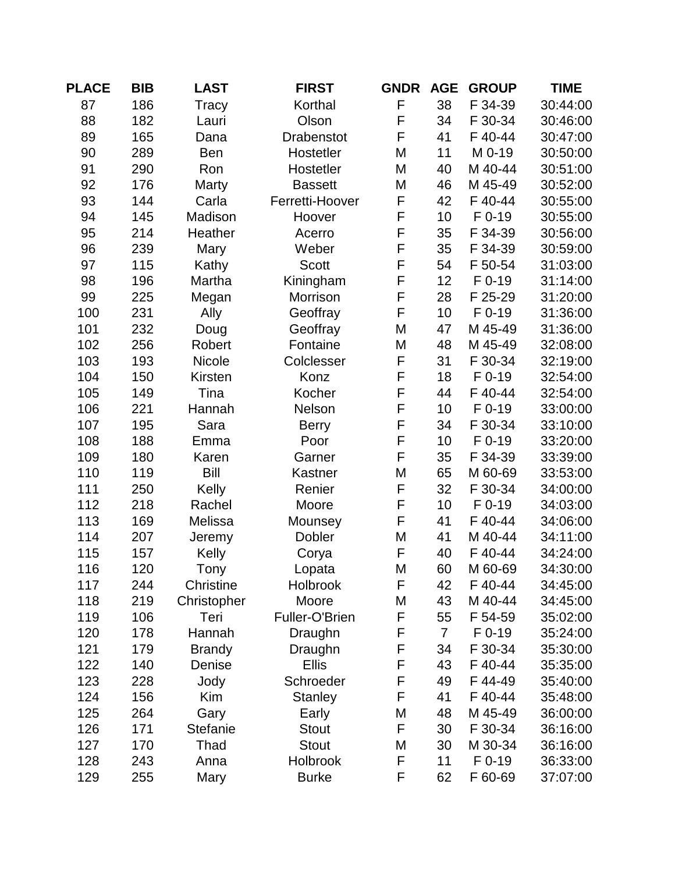| <b>PLACE</b> | <b>BIB</b> | <b>LAST</b>     | <b>FIRST</b>      | <b>GNDR</b> | <b>AGE</b>     | <b>GROUP</b> | <b>TIME</b> |
|--------------|------------|-----------------|-------------------|-------------|----------------|--------------|-------------|
| 87           | 186        | Tracy           | Korthal           | F           | 38             | F 34-39      | 30:44:00    |
| 88           | 182        | Lauri           | Olson             | F           | 34             | F 30-34      | 30:46:00    |
| 89           | 165        | Dana            | <b>Drabenstot</b> | F           | 41             | F 40-44      | 30:47:00    |
| 90           | 289        | <b>Ben</b>      | Hostetler         | M           | 11             | M 0-19       | 30:50:00    |
| 91           | 290        | Ron             | Hostetler         | M           | 40             | M 40-44      | 30:51:00    |
| 92           | 176        | Marty           | <b>Bassett</b>    | M           | 46             | M 45-49      | 30:52:00    |
| 93           | 144        | Carla           | Ferretti-Hoover   | F           | 42             | F 40-44      | 30:55:00    |
| 94           | 145        | Madison         | Hoover            | F           | 10             | $F$ 0-19     | 30:55:00    |
| 95           | 214        | Heather         | Acerro            | F           | 35             | F 34-39      | 30:56:00    |
| 96           | 239        | Mary            | Weber             | F           | 35             | F 34-39      | 30:59:00    |
| 97           | 115        | Kathy           | <b>Scott</b>      | F           | 54             | F 50-54      | 31:03:00    |
| 98           | 196        | Martha          | Kiningham         | F           | 12             | F 0-19       | 31:14:00    |
| 99           | 225        | Megan           | Morrison          | $\mathsf F$ | 28             | F 25-29      | 31:20:00    |
| 100          | 231        | Ally            | Geoffray          | F           | 10             | $F$ 0-19     | 31:36:00    |
| 101          | 232        | Doug            | Geoffray          | M           | 47             | M 45-49      | 31:36:00    |
| 102          | 256        | Robert          | Fontaine          | M           | 48             | M 45-49      | 32:08:00    |
| 103          | 193        | Nicole          | Colclesser        | F           | 31             | F 30-34      | 32:19:00    |
| 104          | 150        | Kirsten         | Konz              | F           | 18             | F 0-19       | 32:54:00    |
| 105          | 149        | Tina            | Kocher            | F           | 44             | F 40-44      | 32:54:00    |
| 106          | 221        | Hannah          | Nelson            | F           | 10             | $F$ 0-19     | 33:00:00    |
| 107          | 195        | Sara            | <b>Berry</b>      | F           | 34             | F 30-34      | 33:10:00    |
| 108          | 188        | Emma            | Poor              | F           | 10             | F 0-19       | 33:20:00    |
| 109          | 180        | Karen           | Garner            | F           | 35             | F 34-39      | 33:39:00    |
| 110          | 119        | Bill            | Kastner           | M           | 65             | M 60-69      | 33:53:00    |
| 111          | 250        | Kelly           | Renier            | F           | 32             | F 30-34      | 34:00:00    |
| 112          | 218        | Rachel          | Moore             | F           | 10             | $F$ 0-19     | 34:03:00    |
| 113          | 169        | Melissa         | Mounsey           | F           | 41             | F 40-44      | 34:06:00    |
| 114          | 207        | Jeremy          | Dobler            | M           | 41             | M 40-44      | 34:11:00    |
| 115          | 157        | Kelly           | Corya             | F           | 40             | F 40-44      | 34:24:00    |
| 116          | 120        | Tony            | Lopata            | M           | 60             | M 60-69      | 34:30:00    |
| 117          | 244        | Christine       | Holbrook          | F           | 42             | F 40-44      | 34:45:00    |
| 118          | 219        | Christopher     | Moore             | M           | 43             | M 40-44      | 34:45:00    |
| 119          | 106        | Teri            | Fuller-O'Brien    | F           | 55             | F 54-59      | 35:02:00    |
| 120          | 178        | Hannah          | Draughn           | F           | $\overline{7}$ | $F$ 0-19     | 35:24:00    |
| 121          | 179        | <b>Brandy</b>   | Draughn           | F           | 34             | F 30-34      | 35:30:00    |
| 122          | 140        | Denise          | <b>Ellis</b>      | F           | 43             | F 40-44      | 35:35:00    |
| 123          | 228        | Jody            | Schroeder         | F           | 49             | F 44-49      | 35:40:00    |
| 124          | 156        | Kim             | <b>Stanley</b>    | F           | 41             | F 40-44      | 35:48:00    |
| 125          | 264        | Gary            | Early             | M           | 48             | M 45-49      | 36:00:00    |
| 126          | 171        | <b>Stefanie</b> | <b>Stout</b>      | F           | 30             | F 30-34      | 36:16:00    |
| 127          | 170        | Thad            | <b>Stout</b>      | M           | 30             | M 30-34      | 36:16:00    |
| 128          | 243        | Anna            | Holbrook          | F           | 11             | $F$ 0-19     | 36:33:00    |
| 129          | 255        | Mary            | <b>Burke</b>      | F           | 62             | F 60-69      | 37:07:00    |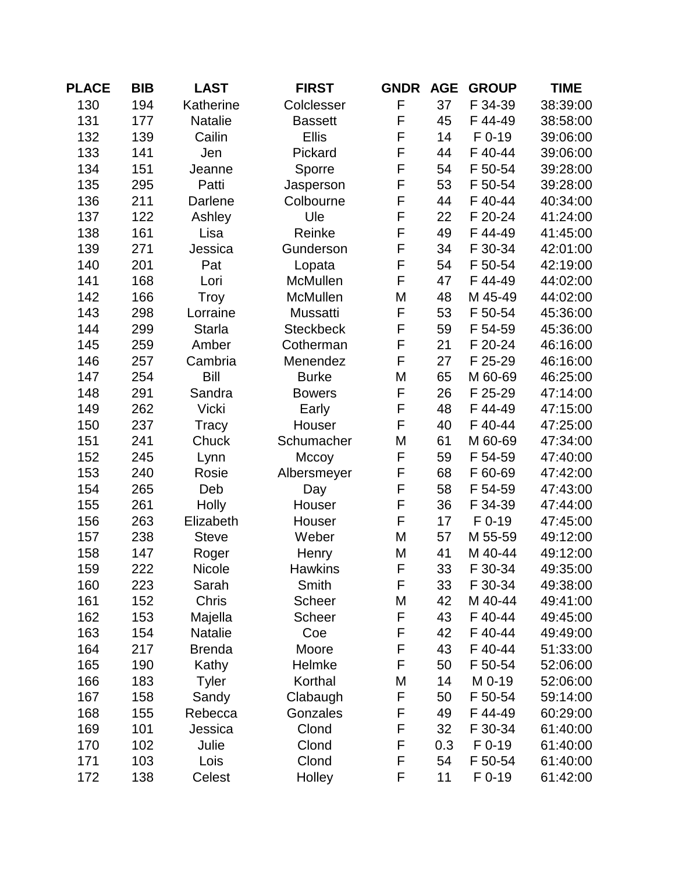| <b>PLACE</b> | <b>BIB</b> | <b>LAST</b>    | <b>FIRST</b>     | <b>GNDR</b> | <b>AGE</b> | <b>GROUP</b> | <b>TIME</b> |
|--------------|------------|----------------|------------------|-------------|------------|--------------|-------------|
| 130          | 194        | Katherine      | Colclesser       | F           | 37         | F 34-39      | 38:39:00    |
| 131          | 177        | <b>Natalie</b> | <b>Bassett</b>   | F           | 45         | F 44-49      | 38:58:00    |
| 132          | 139        | Cailin         | <b>Ellis</b>     | F           | 14         | F 0-19       | 39:06:00    |
| 133          | 141        | Jen            | Pickard          | F           | 44         | F 40-44      | 39:06:00    |
| 134          | 151        | Jeanne         | Sporre           | F           | 54         | F 50-54      | 39:28:00    |
| 135          | 295        | Patti          | Jasperson        | F           | 53         | F 50-54      | 39:28:00    |
| 136          | 211        | Darlene        | Colbourne        | F           | 44         | F 40-44      | 40:34:00    |
| 137          | 122        | Ashley         | Ule              | F           | 22         | F 20-24      | 41:24:00    |
| 138          | 161        | Lisa           | Reinke           | F           | 49         | F44-49       | 41:45:00    |
| 139          | 271        | Jessica        | Gunderson        | F           | 34         | F 30-34      | 42:01:00    |
| 140          | 201        | Pat            | Lopata           | F           | 54         | F 50-54      | 42:19:00    |
| 141          | 168        | Lori           | McMullen         | F           | 47         | F44-49       | 44:02:00    |
| 142          | 166        | Troy           | McMullen         | M           | 48         | M 45-49      | 44:02:00    |
| 143          | 298        | Lorraine       | Mussatti         | F           | 53         | F 50-54      | 45:36:00    |
| 144          | 299        | <b>Starla</b>  | <b>Steckbeck</b> | F           | 59         | F 54-59      | 45:36:00    |
| 145          | 259        | Amber          | Cotherman        | F           | 21         | F 20-24      | 46:16:00    |
| 146          | 257        | Cambria        | Menendez         | F           | 27         | F 25-29      | 46:16:00    |
| 147          | 254        | Bill           | <b>Burke</b>     | M           | 65         | M 60-69      | 46:25:00    |
| 148          | 291        | Sandra         | <b>Bowers</b>    | F           | 26         | F 25-29      | 47:14:00    |
| 149          | 262        | <b>Vicki</b>   | Early            | F           | 48         | F 44-49      | 47:15:00    |
| 150          | 237        | Tracy          | Houser           | F           | 40         | F 40-44      | 47:25:00    |
| 151          | 241        | Chuck          | Schumacher       | M           | 61         | M 60-69      | 47:34:00    |
| 152          | 245        | Lynn           | Mccoy            | F           | 59         | F 54-59      | 47:40:00    |
| 153          | 240        | Rosie          | Albersmeyer      | F           | 68         | F 60-69      | 47:42:00    |
| 154          | 265        | Deb            | Day              | F           | 58         | F 54-59      | 47:43:00    |
| 155          | 261        | Holly          | Houser           | F           | 36         | F 34-39      | 47:44:00    |
| 156          | 263        | Elizabeth      | Houser           | F           | 17         | $F$ 0-19     | 47:45:00    |
| 157          | 238        | <b>Steve</b>   | Weber            | M           | 57         | M 55-59      | 49:12:00    |
| 158          | 147        | Roger          | Henry            | M           | 41         | M 40-44      | 49:12:00    |
| 159          | 222        | Nicole         | <b>Hawkins</b>   | F           | 33         | F 30-34      | 49:35:00    |
| 160          | 223        | Sarah          | Smith            | F           | 33         | F 30-34      | 49:38:00    |
| 161          | 152        | Chris          | <b>Scheer</b>    | M           | 42         | M 40-44      | 49:41:00    |
| 162          | 153        | Majella        | <b>Scheer</b>    | F           | 43         | F 40-44      | 49:45:00    |
| 163          | 154        | <b>Natalie</b> | Coe              | F           | 42         | F 40-44      | 49:49:00    |
| 164          | 217        | <b>Brenda</b>  | Moore            | F           | 43         | F 40-44      | 51:33:00    |
| 165          | 190        | Kathy          | Helmke           | F           | 50         | F 50-54      | 52:06:00    |
| 166          | 183        | <b>Tyler</b>   | Korthal          | M           | 14         | M 0-19       | 52:06:00    |
| 167          | 158        | Sandy          | Clabaugh         | F           | 50         | F 50-54      | 59:14:00    |
| 168          | 155        | Rebecca        | Gonzales         | F           | 49         | F44-49       | 60:29:00    |
| 169          | 101        | Jessica        | Clond            | F           | 32         | F 30-34      | 61:40:00    |
| 170          | 102        | Julie          | Clond            | F           | 0.3        | $F$ 0-19     | 61:40:00    |
| 171          | 103        | Lois           | Clond            | F           | 54         | F 50-54      | 61:40:00    |
| 172          | 138        | Celest         | Holley           | F           | 11         | $F$ 0-19     | 61:42:00    |